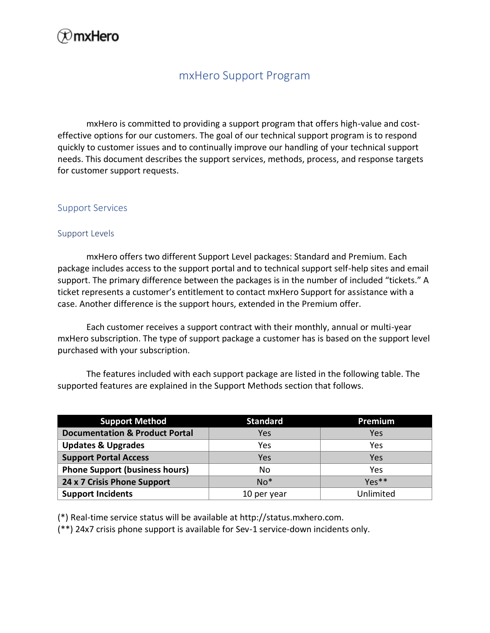# ≫mxHero

### mxHero Support Program

mxHero is committed to providing a support program that offers high-value and costeffective options for our customers. The goal of our technical support program is to respond quickly to customer issues and to continually improve our handling of your technical support needs. This document describes the support services, methods, process, and response targets for customer support requests.

#### Support Services

#### Support Levels

mxHero offers two different Support Level packages: Standard and Premium. Each package includes access to the support portal and to technical support self-help sites and email support. The primary difference between the packages is in the number of included "tickets." A ticket represents a customer's entitlement to contact mxHero Support for assistance with a case. Another difference is the support hours, extended in the Premium offer.

Each customer receives a support contract with their monthly, annual or multi-year mxHero subscription. The type of support package a customer has is based on the support level purchased with your subscription.

The features included with each support package are listed in the following table. The supported features are explained in the Support Methods section that follows.

| <b>Support Method</b>                     | <b>Standard</b> | Premium         |
|-------------------------------------------|-----------------|-----------------|
| <b>Documentation &amp; Product Portal</b> | Yes             | Yes             |
| <b>Updates &amp; Upgrades</b>             | Yes             | Yes             |
| <b>Support Portal Access</b>              | Yes             | Yes             |
| <b>Phone Support (business hours)</b>     | No              | Yes             |
| 24 x 7 Crisis Phone Support               | $No*$           | $Y\rho\xi^{**}$ |
| <b>Support Incidents</b>                  | 10 per year     | Unlimited       |

(\*) Real-time service status will be available at http://status.mxhero.com.

(\*\*) 24x7 crisis phone support is available for Sev-1 service-down incidents only.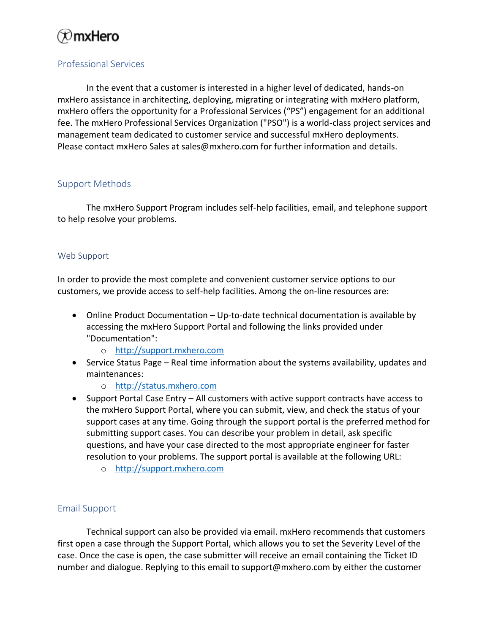# ⊗mxHero

### Professional Services

In the event that a customer is interested in a higher level of dedicated, hands-on mxHero assistance in architecting, deploying, migrating or integrating with mxHero platform, mxHero offers the opportunity for a Professional Services ("PS") engagement for an additional fee. The mxHero Professional Services Organization ("PSO") is a world-class project services and management team dedicated to customer service and successful mxHero deployments. Please contact mxHero Sales at sales@mxhero.com for further information and details.

#### Support Methods

The mxHero Support Program includes self-help facilities, email, and telephone support to help resolve your problems.

#### Web Support

In order to provide the most complete and convenient customer service options to our customers, we provide access to self-help facilities. Among the on-line resources are:

- Online Product Documentation Up-to-date technical documentation is available by accessing the mxHero Support Portal and following the links provided under "Documentation":
	- o [http://support.mxhero.com](http://support.mxhero.com/)
- Service Status Page Real time information about the systems availability, updates and maintenances:
	- o [http://status.mxhero.com](http://status.mxhero.com/)
- Support Portal Case Entry All customers with active support contracts have access to the mxHero Support Portal, where you can submit, view, and check the status of your support cases at any time. Going through the support portal is the preferred method for submitting support cases. You can describe your problem in detail, ask specific questions, and have your case directed to the most appropriate engineer for faster resolution to your problems. The support portal is available at the following URL:
	- o [http://support.mxhero.com](http://support.mxhero.com/)

#### Email Support

Technical support can also be provided via email. mxHero recommends that customers first open a case through the Support Portal, which allows you to set the Severity Level of the case. Once the case is open, the case submitter will receive an email containing the Ticket ID number and dialogue. Replying to this email to support@mxhero.com by either the customer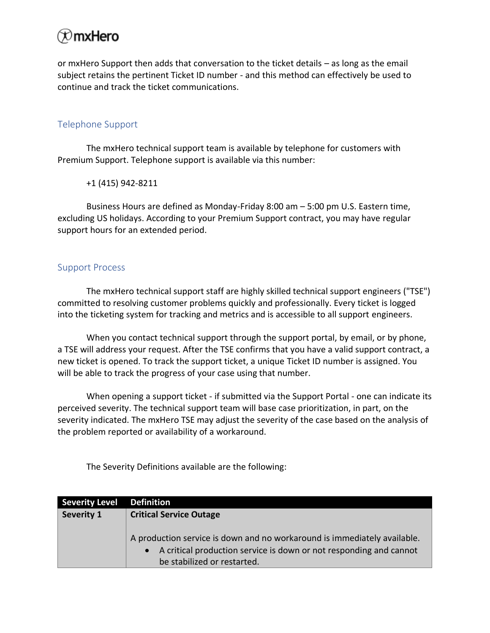# $\otimes$ mxHero

or mxHero Support then adds that conversation to the ticket details – as long as the email subject retains the pertinent Ticket ID number - and this method can effectively be used to continue and track the ticket communications.

#### Telephone Support

The mxHero technical support team is available by telephone for customers with Premium Support. Telephone support is available via this number:

+1 (415) 942-8211

Business Hours are defined as Monday-Friday 8:00 am – 5:00 pm U.S. Eastern time, excluding US holidays. According to your Premium Support contract, you may have regular support hours for an extended period.

#### Support Process

The mxHero technical support staff are highly skilled technical support engineers ("TSE") committed to resolving customer problems quickly and professionally. Every ticket is logged into the ticketing system for tracking and metrics and is accessible to all support engineers.

When you contact technical support through the support portal, by email, or by phone, a TSE will address your request. After the TSE confirms that you have a valid support contract, a new ticket is opened. To track the support ticket, a unique Ticket ID number is assigned. You will be able to track the progress of your case using that number.

When opening a support ticket - if submitted via the Support Portal - one can indicate its perceived severity. The technical support team will base case prioritization, in part, on the severity indicated. The mxHero TSE may adjust the severity of the case based on the analysis of the problem reported or availability of a workaround.

The Severity Definitions available are the following:

| <b>Severity Level</b> | <b>Definition</b>                                                        |  |  |
|-----------------------|--------------------------------------------------------------------------|--|--|
| Severity 1            | <b>Critical Service Outage</b>                                           |  |  |
|                       |                                                                          |  |  |
|                       | A production service is down and no workaround is immediately available. |  |  |
|                       | • A critical production service is down or not responding and cannot     |  |  |
|                       | be stabilized or restarted.                                              |  |  |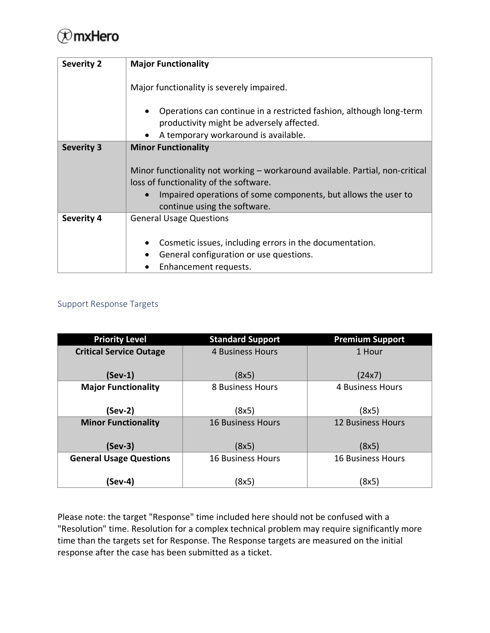# $\oslash$ mxHero

| <b>Severity 2</b> | <b>Major Functionality</b>                                                                                                                                                                                                                              |  |  |
|-------------------|---------------------------------------------------------------------------------------------------------------------------------------------------------------------------------------------------------------------------------------------------------|--|--|
|                   | Major functionality is severely impaired.                                                                                                                                                                                                               |  |  |
|                   | Operations can continue in a restricted fashion, although long-term<br>$\bullet$<br>productivity might be adversely affected.                                                                                                                           |  |  |
|                   | A temporary workaround is available.                                                                                                                                                                                                                    |  |  |
| <b>Severity 3</b> | <b>Minor Functionality</b><br>Minor functionality not working – workaround available. Partial, non-critical<br>loss of functionality of the software.<br>Impaired operations of some components, but allows the user to<br>continue using the software. |  |  |
| <b>Severity 4</b> | <b>General Usage Questions</b><br>Cosmetic issues, including errors in the documentation.<br>$\bullet$                                                                                                                                                  |  |  |
|                   | General configuration or use questions.                                                                                                                                                                                                                 |  |  |
|                   |                                                                                                                                                                                                                                                         |  |  |
|                   | Enhancement requests.                                                                                                                                                                                                                                   |  |  |

### Support Response Targets

| <b>Priority Level</b>          | <b>Standard Support</b>  | <b>Premium Support</b>   |
|--------------------------------|--------------------------|--------------------------|
| <b>Critical Service Outage</b> | <b>4 Business Hours</b>  | 1 Hour                   |
| $(Sev-1)$                      | (8x5)                    | (24x7)                   |
| <b>Major Functionality</b>     | 8 Business Hours         | 4 Business Hours         |
|                                |                          |                          |
| $(Sev-2)$                      | (8x5)                    | (8x5)                    |
| <b>Minor Functionality</b>     | <b>16 Business Hours</b> | <b>12 Business Hours</b> |
| $(Sev-3)$                      | (8x5)                    | (8x5)                    |
| <b>General Usage Questions</b> | <b>16 Business Hours</b> | <b>16 Business Hours</b> |
|                                |                          |                          |
| (Sev-4)                        | (8x5)                    | (8x5)                    |

Please note: the target "Response" time included here should not be confused with a "Resolution" time. Resolution for a complex technical problem may require significantly more time than the targets set for Response. The Response targets are measured on the initial response after the case has been submitted as a ticket.